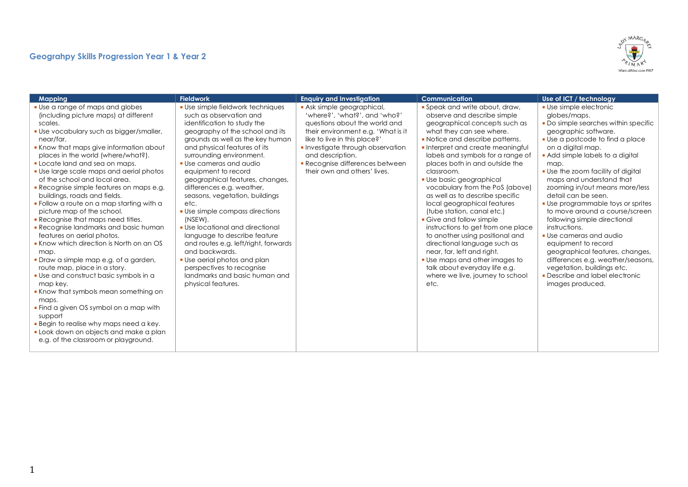## **Geograhpy Skills Progression Year 1 & Year 2**



| <b>Mapping</b>                                                                                                                                                                                                                                                                                                                                                                                                                                                                                                                                                                                                                                                                                                                                                                                                                                                                                                                                                                                                                                        | <b>Fieldwork</b>                                                                                                                                                                                                                                                                                                                                                                                                                                                                                                                                                                                                                                                                           | <b>Enquiry and Investigation</b>                                                                                                                                                                                                                                                         | <b>Communication</b>                                                                                                                                                                                                                                                                                                                                                                                                                                                                                                                                                                                                                                                                                                                   | Use of ICT / technology                                                                                                                                                                                                                                                                                                                                                                                                                                                                                                                                                                                                                                                       |
|-------------------------------------------------------------------------------------------------------------------------------------------------------------------------------------------------------------------------------------------------------------------------------------------------------------------------------------------------------------------------------------------------------------------------------------------------------------------------------------------------------------------------------------------------------------------------------------------------------------------------------------------------------------------------------------------------------------------------------------------------------------------------------------------------------------------------------------------------------------------------------------------------------------------------------------------------------------------------------------------------------------------------------------------------------|--------------------------------------------------------------------------------------------------------------------------------------------------------------------------------------------------------------------------------------------------------------------------------------------------------------------------------------------------------------------------------------------------------------------------------------------------------------------------------------------------------------------------------------------------------------------------------------------------------------------------------------------------------------------------------------------|------------------------------------------------------------------------------------------------------------------------------------------------------------------------------------------------------------------------------------------------------------------------------------------|----------------------------------------------------------------------------------------------------------------------------------------------------------------------------------------------------------------------------------------------------------------------------------------------------------------------------------------------------------------------------------------------------------------------------------------------------------------------------------------------------------------------------------------------------------------------------------------------------------------------------------------------------------------------------------------------------------------------------------------|-------------------------------------------------------------------------------------------------------------------------------------------------------------------------------------------------------------------------------------------------------------------------------------------------------------------------------------------------------------------------------------------------------------------------------------------------------------------------------------------------------------------------------------------------------------------------------------------------------------------------------------------------------------------------------|
| • Use a range of maps and globes<br>(including picture maps) at different<br>scales.<br>. Use vocabulary such as bigger/smaller,<br>near/far.<br>Know that maps give information about<br>places in the world (where/what?).<br>• Locate land and sea on maps.<br>• Use large scale maps and aerial photos<br>of the school and local area.<br><b>Recognise simple features on maps e.g.</b><br>buildings, roads and fields.<br>• Follow a route on a map starting with a<br>picture map of the school.<br>• Recognise that maps need titles.<br><b>Recognise landmarks and basic human</b><br>features on aerial photos.<br>• Know which direction is North on an OS<br>map.<br>· Draw a simple map e.g. of a garden,<br>route map, place in a story.<br>• Use and construct basic symbols in a<br>map key.<br>• Know that symbols mean something on<br>maps.<br>• Find a given OS symbol on a map with<br>support<br><b>Begin to realise why maps need a key.</b><br>• Look down on objects and make a plan<br>e.g. of the classroom or playground. | • Use simple fieldwork techniques<br>such as observation and<br>identification to study the<br>geography of the school and its<br>grounds as well as the key human<br>and physical features of its<br>surrounding environment.<br>• Use cameras and audio<br>equipment to record<br>geographical features, changes,<br>differences e.g. weather,<br>seasons, vegetation, buildings<br>etc.<br>• Use simple compass directions<br>(NSEW).<br>• Use locational and directional<br>language to describe feature<br>and routes e.g. left/right, forwards<br>and backwards.<br>. Use aerial photos and plan<br>perspectives to recognise<br>landmarks and basic human and<br>physical features. | Ask simple geographical,<br>'where?', 'what?', and 'who?'<br>questions about the world and<br>their environment e.g. 'What is it<br>like to live in this place?'<br>Investigate through observation<br>and description.<br>Recognise differences between<br>their own and others' lives. | • Speak and write about, draw,<br>observe and describe simple<br>geographical concepts such as<br>what they can see where.<br>• Notice and describe patterns.<br>Interpret and create meaningful<br>labels and symbols for a range of<br>places both in and outside the<br>classroom.<br>· Use basic geographical<br>vocabulary from the PoS (above)<br>as well as to describe specific<br>local geographical features<br>(tube station, canal etc.)<br>• Give and follow simple<br>instructions to get from one place<br>to another using positional and<br>directional language such as<br>near, far, left and right.<br>• Use maps and other images to<br>talk about everyday life e.g.<br>where we live, journey to school<br>etc. | • Use simple electronic<br>globes/maps.<br>• Do simple searches within specific<br>geographic software.<br>• Use a postcode to find a place<br>on a digital map.<br>Add simple labels to a digital<br>map.<br>• Use the zoom facility of digital<br>maps and understand that<br>zooming in/out means more/less<br>detail can be seen.<br>• Use programmable toys or sprites<br>to move around a course/screen<br>following simple directional<br>instructions.<br>• Use cameras and audio<br>equipment to record<br>geographical features, changes,<br>differences e.g. weather/seasons,<br>vegetation, buildings etc.<br>• Describe and label electronic<br>images produced. |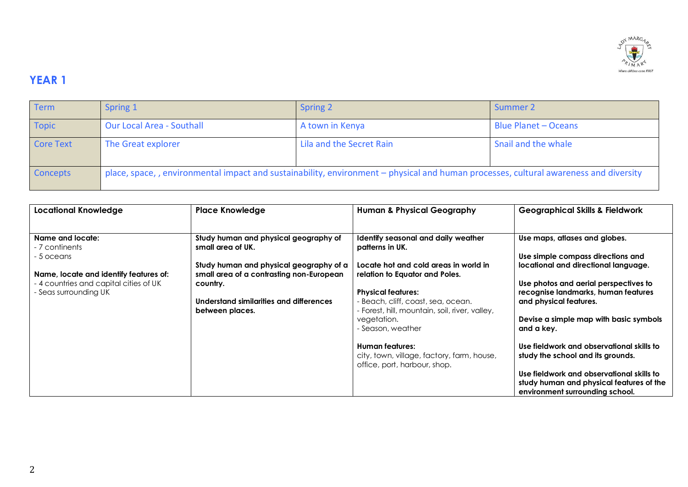

## **YEAR 1**

| <b>Term</b>      | Spring 1                                                                                                                              | <b>Spring 2</b>          | Summer 2                    |
|------------------|---------------------------------------------------------------------------------------------------------------------------------------|--------------------------|-----------------------------|
| <b>Topic</b>     | <b>Our Local Area - Southall</b>                                                                                                      | A town in Kenya          | <b>Blue Planet - Oceans</b> |
| <b>Core Text</b> | The Great explorer                                                                                                                    | Lila and the Secret Rain | Snail and the whale         |
| Concepts         | place, space, , environmental impact and sustainability, environment – physical and human processes, cultural awareness and diversity |                          |                             |

| <b>Locational Knowledge</b>                                     | <b>Place Knowledge</b>                                                              | <b>Human &amp; Physical Geography</b>                                              | <b>Geographical Skills &amp; Fieldwork</b>                                                             |
|-----------------------------------------------------------------|-------------------------------------------------------------------------------------|------------------------------------------------------------------------------------|--------------------------------------------------------------------------------------------------------|
| Name and locate:<br>- 7 continents                              | Study human and physical geography of<br>small area of UK.                          | Identify seasonal and daily weather<br>patterns in UK.                             | Use maps, atlases and globes.                                                                          |
| - 5 oceans<br>Name, locate and identify features of:            | Study human and physical geography of a<br>small area of a contrasting non-European | Locate hot and cold areas in world in<br>relation to Equator and Poles.            | Use simple compass directions and<br>locational and directional language.                              |
| - 4 countries and capital cities of UK<br>- Seas surrounding UK | country.<br>Understand similarities and differences                                 | <b>Physical features:</b><br>- Beach, cliff, coast, sea, ocean.                    | Use photos and aerial perspectives to<br>recognise landmarks, human features<br>and physical features. |
|                                                                 | between places.                                                                     | - Forest, hill, mountain, soil, river, valley,<br>vegetation.<br>- Season, weather | Devise a simple map with basic symbols<br>and a key.                                                   |
|                                                                 |                                                                                     | Human features:                                                                    | Use fieldwork and observational skills to<br>study the school and its grounds.                         |
|                                                                 |                                                                                     | city, town, village, factory, farm, house,<br>office, port, harbour, shop.         | Use fieldwork and observational skills to                                                              |
|                                                                 |                                                                                     |                                                                                    | study human and physical features of the<br>environment surrounding school.                            |